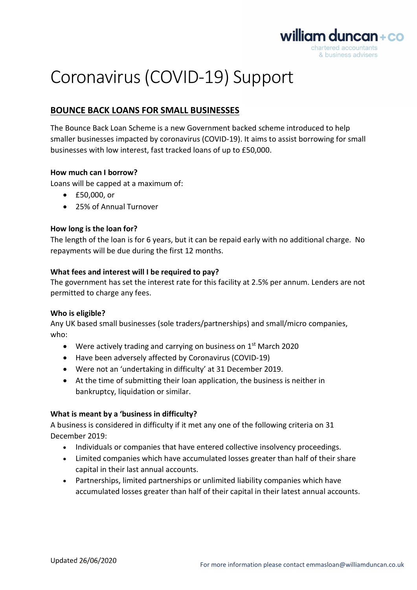

# Coronavirus (COVID-19) Support

## BOUNCE BACK LOANS FOR SMALL BUSINESSES

The Bounce Back Loan Scheme is a new Government backed scheme introduced to help smaller businesses impacted by coronavirus (COVID-19). It aims to assist borrowing for small businesses with low interest, fast tracked loans of up to £50,000.

#### How much can I borrow?

Loans will be capped at a maximum of:

- £50,000, or
- 25% of Annual Turnover

### How long is the loan for?

The length of the loan is for 6 years, but it can be repaid early with no additional charge. No repayments will be due during the first 12 months.

#### What fees and interest will I be required to pay?

The government has set the interest rate for this facility at 2.5% per annum. Lenders are not permitted to charge any fees.

#### Who is eligible?

Any UK based small businesses (sole traders/partnerships) and small/micro companies, who:

- $\bullet$  Were actively trading and carrying on business on 1<sup>st</sup> March 2020
- Have been adversely affected by Coronavirus (COVID-19)
- Were not an 'undertaking in difficulty' at 31 December 2019.
- At the time of submitting their loan application, the business is neither in bankruptcy, liquidation or similar.

#### What is meant by a 'business in difficulty?

A business is considered in difficulty if it met any one of the following criteria on 31 December 2019:

- Individuals or companies that have entered collective insolvency proceedings.
- Limited companies which have accumulated losses greater than half of their share capital in their last annual accounts.
- Partnerships, limited partnerships or unlimited liability companies which have accumulated losses greater than half of their capital in their latest annual accounts.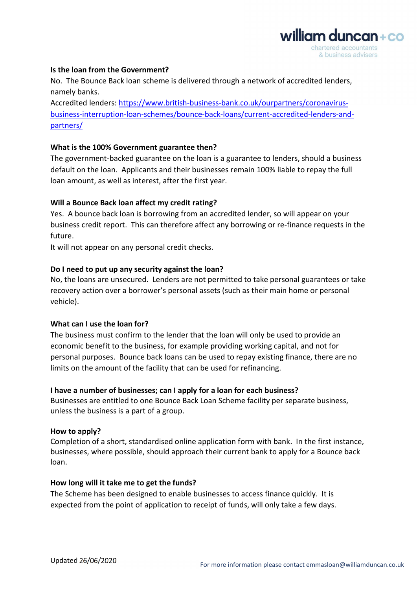

#### Is the loan from the Government?

No. The Bounce Back loan scheme is delivered through a network of accredited lenders, namely banks.

Accredited lenders: https://www.british-business-bank.co.uk/ourpartners/coronavirusbusiness-interruption-loan-schemes/bounce-back-loans/current-accredited-lenders-andpartners/

#### What is the 100% Government guarantee then?

The government-backed guarantee on the loan is a guarantee to lenders, should a business default on the loan. Applicants and their businesses remain 100% liable to repay the full loan amount, as well as interest, after the first year.

#### Will a Bounce Back loan affect my credit rating?

Yes. A bounce back loan is borrowing from an accredited lender, so will appear on your business credit report. This can therefore affect any borrowing or re-finance requests in the future.

It will not appear on any personal credit checks.

#### Do I need to put up any security against the loan?

No, the loans are unsecured. Lenders are not permitted to take personal guarantees or take recovery action over a borrower's personal assets (such as their main home or personal vehicle).

#### What can I use the loan for?

The business must confirm to the lender that the loan will only be used to provide an economic benefit to the business, for example providing working capital, and not for personal purposes. Bounce back loans can be used to repay existing finance, there are no limits on the amount of the facility that can be used for refinancing.

#### I have a number of businesses; can I apply for a loan for each business?

Businesses are entitled to one Bounce Back Loan Scheme facility per separate business, unless the business is a part of a group.

#### How to apply?

Completion of a short, standardised online application form with bank. In the first instance, businesses, where possible, should approach their current bank to apply for a Bounce back loan.

#### How long will it take me to get the funds?

The Scheme has been designed to enable businesses to access finance quickly. It is expected from the point of application to receipt of funds, will only take a few days.